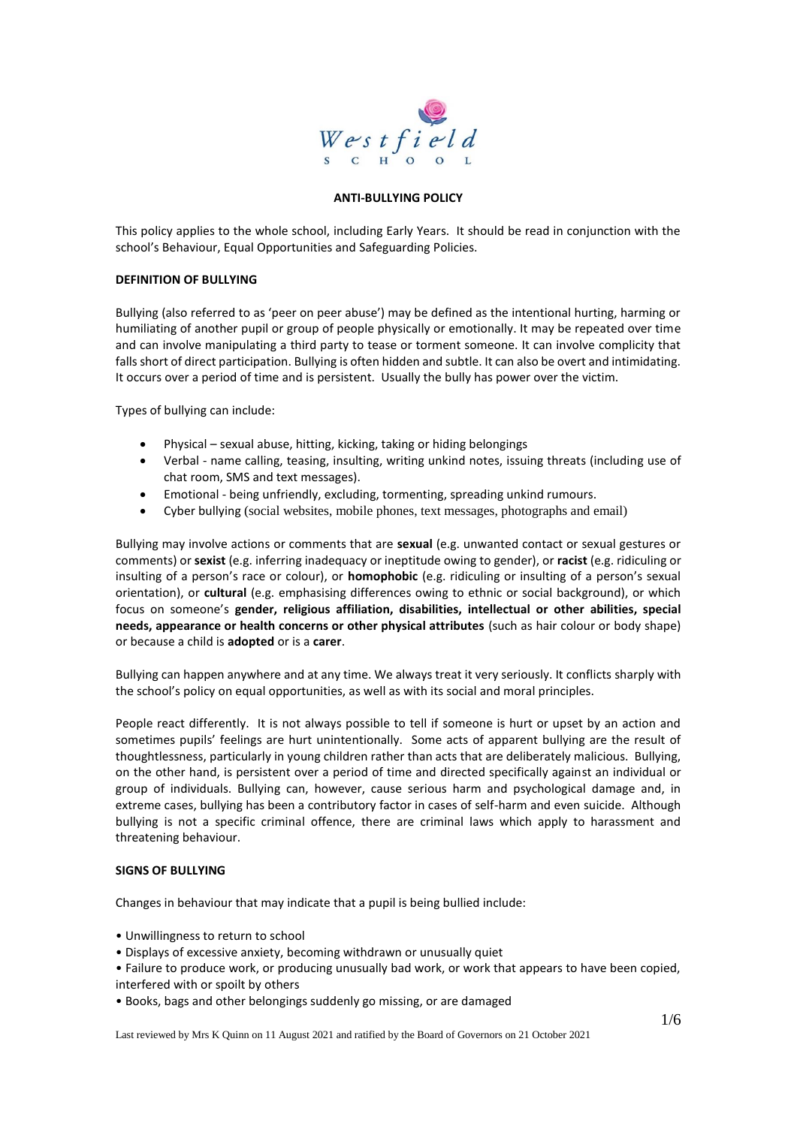

#### **ANTI-BULLYING POLICY**

This policy applies to the whole school, including Early Years. It should be read in conjunction with the school's Behaviour, Equal Opportunities and Safeguarding Policies.

#### **DEFINITION OF BULLYING**

Bullying (also referred to as 'peer on peer abuse') may be defined as the intentional hurting, harming or humiliating of another pupil or group of people physically or emotionally. It may be repeated over time and can involve manipulating a third party to tease or torment someone. It can involve complicity that falls short of direct participation. Bullying is often hidden and subtle. It can also be overt and intimidating. It occurs over a period of time and is persistent. Usually the bully has power over the victim.

Types of bullying can include:

- Physical sexual abuse, hitting, kicking, taking or hiding belongings
- Verbal name calling, teasing, insulting, writing unkind notes, issuing threats (including use of chat room, SMS and text messages).
- Emotional being unfriendly, excluding, tormenting, spreading unkind rumours.
- Cyber bullying (social websites, mobile phones, text messages, photographs and email)

Bullying may involve actions or comments that are **sexual** (e.g. unwanted contact or sexual gestures or comments) or **sexist** (e.g. inferring inadequacy or ineptitude owing to gender), or **racist** (e.g. ridiculing or insulting of a person's race or colour), or **homophobic** (e.g. ridiculing or insulting of a person's sexual orientation), or **cultural** (e.g. emphasising differences owing to ethnic or social background), or which focus on someone's **gender, religious affiliation, disabilities, intellectual or other abilities, special needs, appearance or health concerns or other physical attributes** (such as hair colour or body shape) or because a child is **adopted** or is a **carer**.

Bullying can happen anywhere and at any time. We always treat it very seriously. It conflicts sharply with the school's policy on equal opportunities, as well as with its social and moral principles.

People react differently. It is not always possible to tell if someone is hurt or upset by an action and sometimes pupils' feelings are hurt unintentionally. Some acts of apparent bullying are the result of thoughtlessness, particularly in young children rather than acts that are deliberately malicious. Bullying, on the other hand, is persistent over a period of time and directed specifically against an individual or group of individuals. Bullying can, however, cause serious harm and psychological damage and, in extreme cases, bullying has been a contributory factor in cases of self-harm and even suicide. Although bullying is not a specific criminal offence, there are criminal laws which apply to harassment and threatening behaviour.

#### **SIGNS OF BULLYING**

Changes in behaviour that may indicate that a pupil is being bullied include:

- Unwillingness to return to school
- Displays of excessive anxiety, becoming withdrawn or unusually quiet
- Failure to produce work, or producing unusually bad work, or work that appears to have been copied, interfered with or spoilt by others
- Books, bags and other belongings suddenly go missing, or are damaged

Last reviewed by Mrs K Quinn on 11 August 2021 and ratified by the Board of Governors on 21 October 2021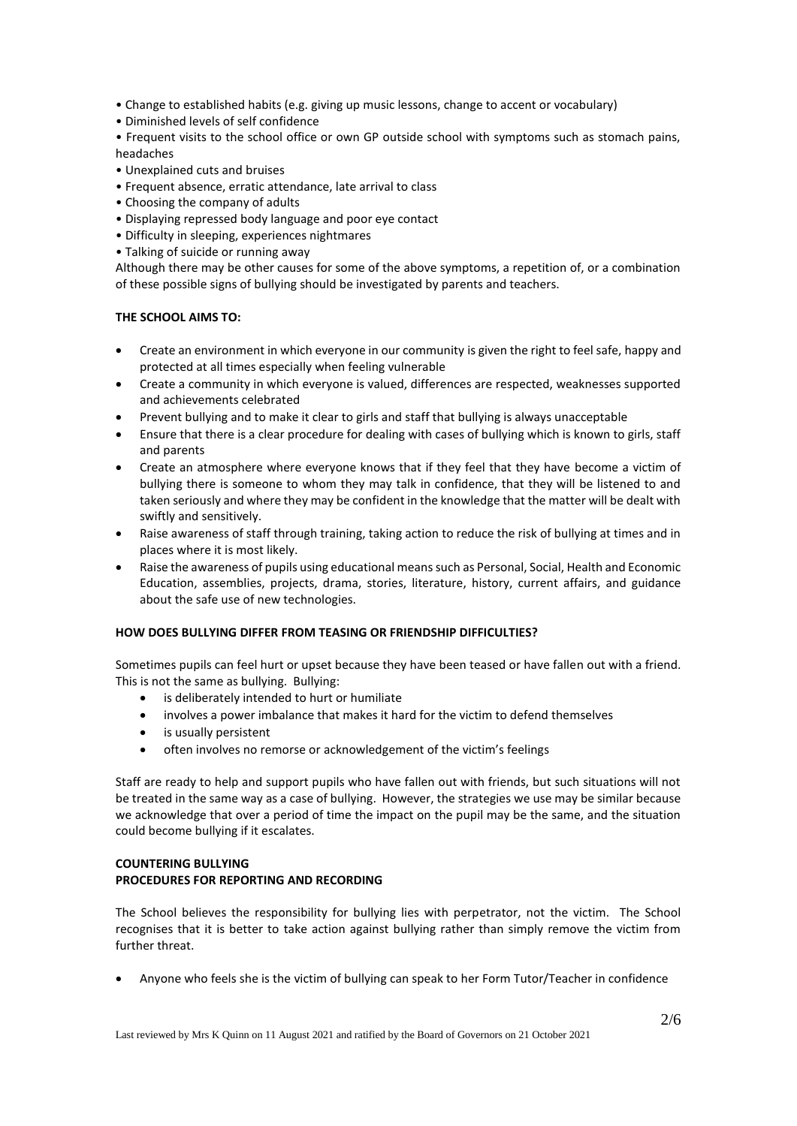- Change to established habits (e.g. giving up music lessons, change to accent or vocabulary)
- Diminished levels of self confidence

• Frequent visits to the school office or own GP outside school with symptoms such as stomach pains, headaches

- Unexplained cuts and bruises
- Frequent absence, erratic attendance, late arrival to class
- Choosing the company of adults
- Displaying repressed body language and poor eye contact
- Difficulty in sleeping, experiences nightmares
- Talking of suicide or running away

Although there may be other causes for some of the above symptoms, a repetition of, or a combination of these possible signs of bullying should be investigated by parents and teachers.

#### **THE SCHOOL AIMS TO:**

- Create an environment in which everyone in our community is given the right to feel safe, happy and protected at all times especially when feeling vulnerable
- Create a community in which everyone is valued, differences are respected, weaknesses supported and achievements celebrated
- Prevent bullying and to make it clear to girls and staff that bullying is always unacceptable
- Ensure that there is a clear procedure for dealing with cases of bullying which is known to girls, staff and parents
- Create an atmosphere where everyone knows that if they feel that they have become a victim of bullying there is someone to whom they may talk in confidence, that they will be listened to and taken seriously and where they may be confident in the knowledge that the matter will be dealt with swiftly and sensitively.
- Raise awareness of staff through training, taking action to reduce the risk of bullying at times and in places where it is most likely.
- Raise the awareness of pupils using educational means such as Personal, Social, Health and Economic Education, assemblies, projects, drama, stories, literature, history, current affairs, and guidance about the safe use of new technologies.

#### **HOW DOES BULLYING DIFFER FROM TEASING OR FRIENDSHIP DIFFICULTIES?**

Sometimes pupils can feel hurt or upset because they have been teased or have fallen out with a friend. This is not the same as bullying. Bullying:

- is deliberately intended to hurt or humiliate
- involves a power imbalance that makes it hard for the victim to defend themselves
- is usually persistent
- often involves no remorse or acknowledgement of the victim's feelings

Staff are ready to help and support pupils who have fallen out with friends, but such situations will not be treated in the same way as a case of bullying. However, the strategies we use may be similar because we acknowledge that over a period of time the impact on the pupil may be the same, and the situation could become bullying if it escalates.

## **COUNTERING BULLYING PROCEDURES FOR REPORTING AND RECORDING**

The School believes the responsibility for bullying lies with perpetrator, not the victim. The School recognises that it is better to take action against bullying rather than simply remove the victim from further threat.

• Anyone who feels she is the victim of bullying can speak to her Form Tutor/Teacher in confidence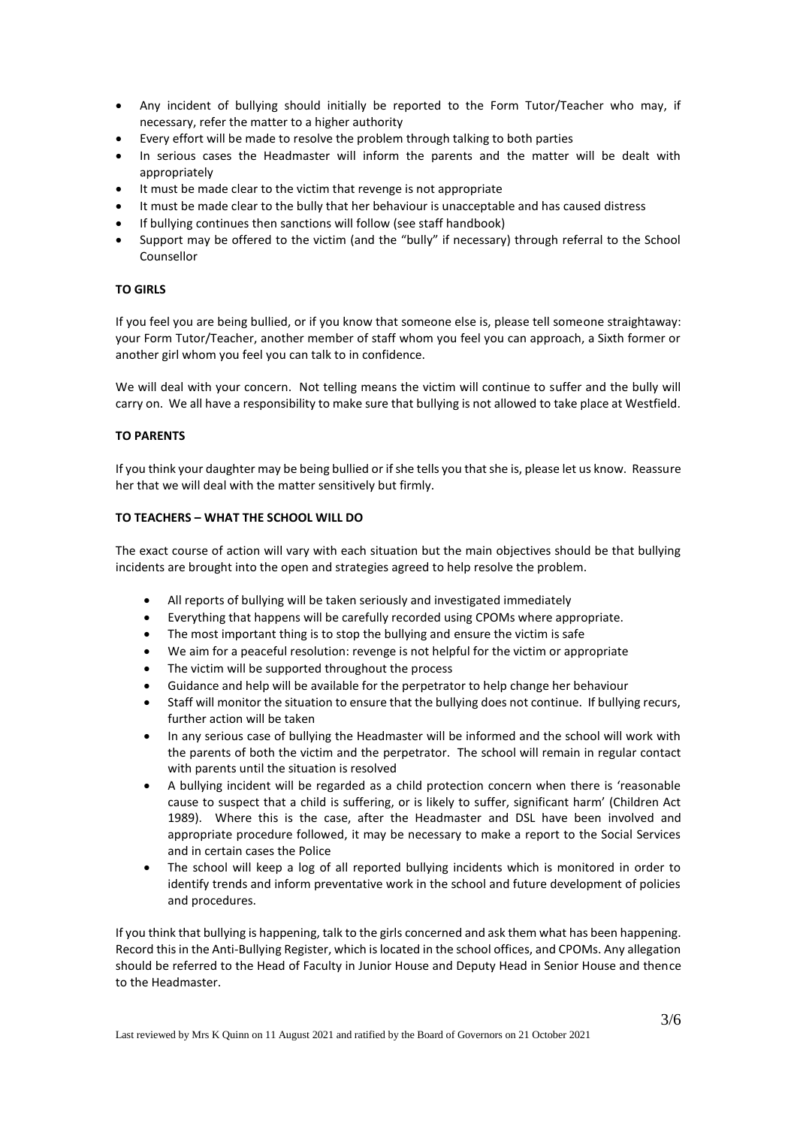- Any incident of bullying should initially be reported to the Form Tutor/Teacher who may, if necessary, refer the matter to a higher authority
- Every effort will be made to resolve the problem through talking to both parties
- In serious cases the Headmaster will inform the parents and the matter will be dealt with appropriately
- It must be made clear to the victim that revenge is not appropriate
- It must be made clear to the bully that her behaviour is unacceptable and has caused distress
- If bullying continues then sanctions will follow (see staff handbook)
- Support may be offered to the victim (and the "bully" if necessary) through referral to the School Counsellor

## **TO GIRLS**

If you feel you are being bullied, or if you know that someone else is, please tell someone straightaway: your Form Tutor/Teacher, another member of staff whom you feel you can approach, a Sixth former or another girl whom you feel you can talk to in confidence.

We will deal with your concern. Not telling means the victim will continue to suffer and the bully will carry on. We all have a responsibility to make sure that bullying is not allowed to take place at Westfield.

## **TO PARENTS**

If you think your daughter may be being bullied or if she tells you that she is, please let us know. Reassure her that we will deal with the matter sensitively but firmly.

## **TO TEACHERS – WHAT THE SCHOOL WILL DO**

The exact course of action will vary with each situation but the main objectives should be that bullying incidents are brought into the open and strategies agreed to help resolve the problem.

- All reports of bullying will be taken seriously and investigated immediately
- Everything that happens will be carefully recorded using CPOMs where appropriate.
- The most important thing is to stop the bullying and ensure the victim is safe
- We aim for a peaceful resolution: revenge is not helpful for the victim or appropriate
- The victim will be supported throughout the process
- Guidance and help will be available for the perpetrator to help change her behaviour
- Staff will monitor the situation to ensure that the bullying does not continue. If bullying recurs, further action will be taken
- In any serious case of bullying the Headmaster will be informed and the school will work with the parents of both the victim and the perpetrator. The school will remain in regular contact with parents until the situation is resolved
- A bullying incident will be regarded as a child protection concern when there is 'reasonable cause to suspect that a child is suffering, or is likely to suffer, significant harm' (Children Act 1989). Where this is the case, after the Headmaster and DSL have been involved and appropriate procedure followed, it may be necessary to make a report to the Social Services and in certain cases the Police
- The school will keep a log of all reported bullying incidents which is monitored in order to identify trends and inform preventative work in the school and future development of policies and procedures.

If you think that bullying is happening, talk to the girls concerned and ask them what has been happening. Record this in the Anti-Bullying Register, which is located in the school offices, and CPOMs. Any allegation should be referred to the Head of Faculty in Junior House and Deputy Head in Senior House and thence to the Headmaster.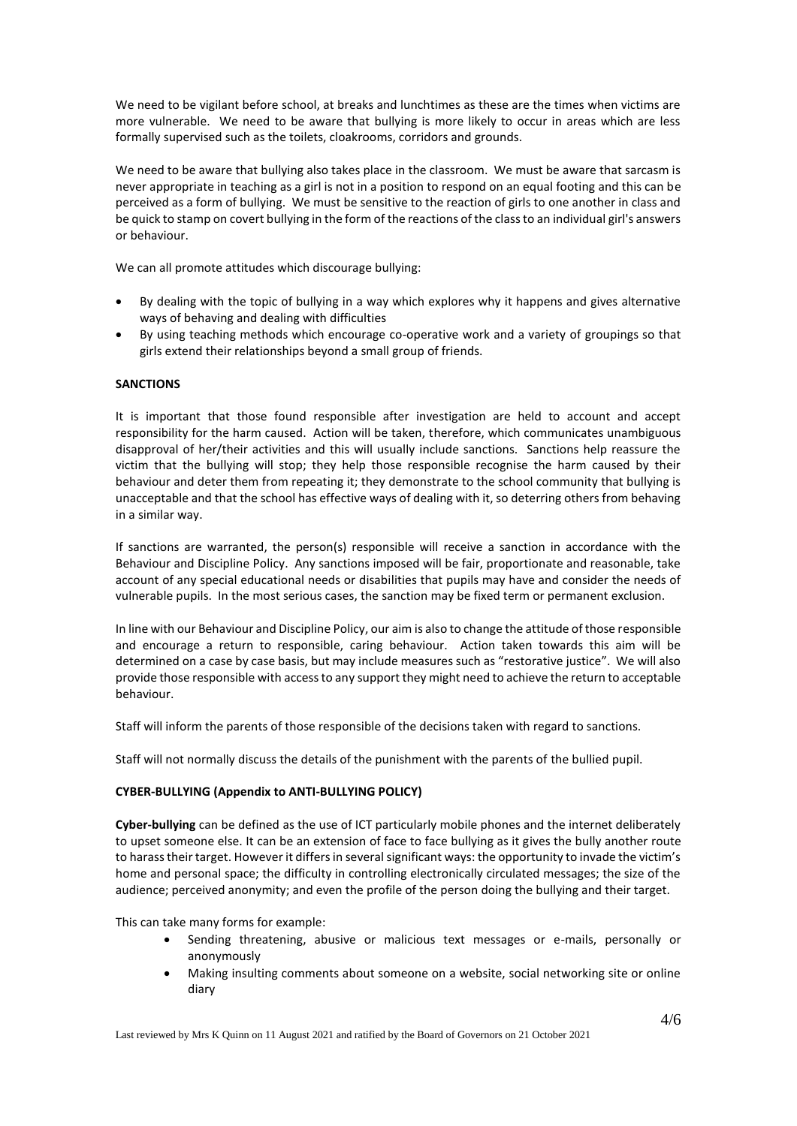We need to be vigilant before school, at breaks and lunchtimes as these are the times when victims are more vulnerable. We need to be aware that bullying is more likely to occur in areas which are less formally supervised such as the toilets, cloakrooms, corridors and grounds.

We need to be aware that bullying also takes place in the classroom. We must be aware that sarcasm is never appropriate in teaching as a girl is not in a position to respond on an equal footing and this can be perceived as a form of bullying. We must be sensitive to the reaction of girls to one another in class and be quick to stamp on covert bullying in the form of the reactions of the class to an individual girl's answers or behaviour.

We can all promote attitudes which discourage bullying:

- By dealing with the topic of bullying in a way which explores why it happens and gives alternative ways of behaving and dealing with difficulties
- By using teaching methods which encourage co-operative work and a variety of groupings so that girls extend their relationships beyond a small group of friends.

## **SANCTIONS**

It is important that those found responsible after investigation are held to account and accept responsibility for the harm caused. Action will be taken, therefore, which communicates unambiguous disapproval of her/their activities and this will usually include sanctions. Sanctions help reassure the victim that the bullying will stop; they help those responsible recognise the harm caused by their behaviour and deter them from repeating it; they demonstrate to the school community that bullying is unacceptable and that the school has effective ways of dealing with it, so deterring others from behaving in a similar way.

If sanctions are warranted, the person(s) responsible will receive a sanction in accordance with the Behaviour and Discipline Policy. Any sanctions imposed will be fair, proportionate and reasonable, take account of any special educational needs or disabilities that pupils may have and consider the needs of vulnerable pupils. In the most serious cases, the sanction may be fixed term or permanent exclusion.

In line with our Behaviour and Discipline Policy, our aim is also to change the attitude of those responsible and encourage a return to responsible, caring behaviour. Action taken towards this aim will be determined on a case by case basis, but may include measures such as "restorative justice". We will also provide those responsible with access to any support they might need to achieve the return to acceptable behaviour.

Staff will inform the parents of those responsible of the decisions taken with regard to sanctions.

Staff will not normally discuss the details of the punishment with the parents of the bullied pupil.

## **CYBER-BULLYING (Appendix to ANTI-BULLYING POLICY)**

**Cyber-bullying** can be defined as the use of ICT particularly mobile phones and the internet deliberately to upset someone else. It can be an extension of face to face bullying as it gives the bully another route to harass their target. However it differs in several significant ways: the opportunity to invade the victim's home and personal space; the difficulty in controlling electronically circulated messages; the size of the audience; perceived anonymity; and even the profile of the person doing the bullying and their target.

This can take many forms for example:

- Sending threatening, abusive or malicious text messages or e-mails, personally or anonymously
- Making insulting comments about someone on a website, social networking site or online diary

Last reviewed by Mrs K Quinn on 11 August 2021 and ratified by the Board of Governors on 21 October 2021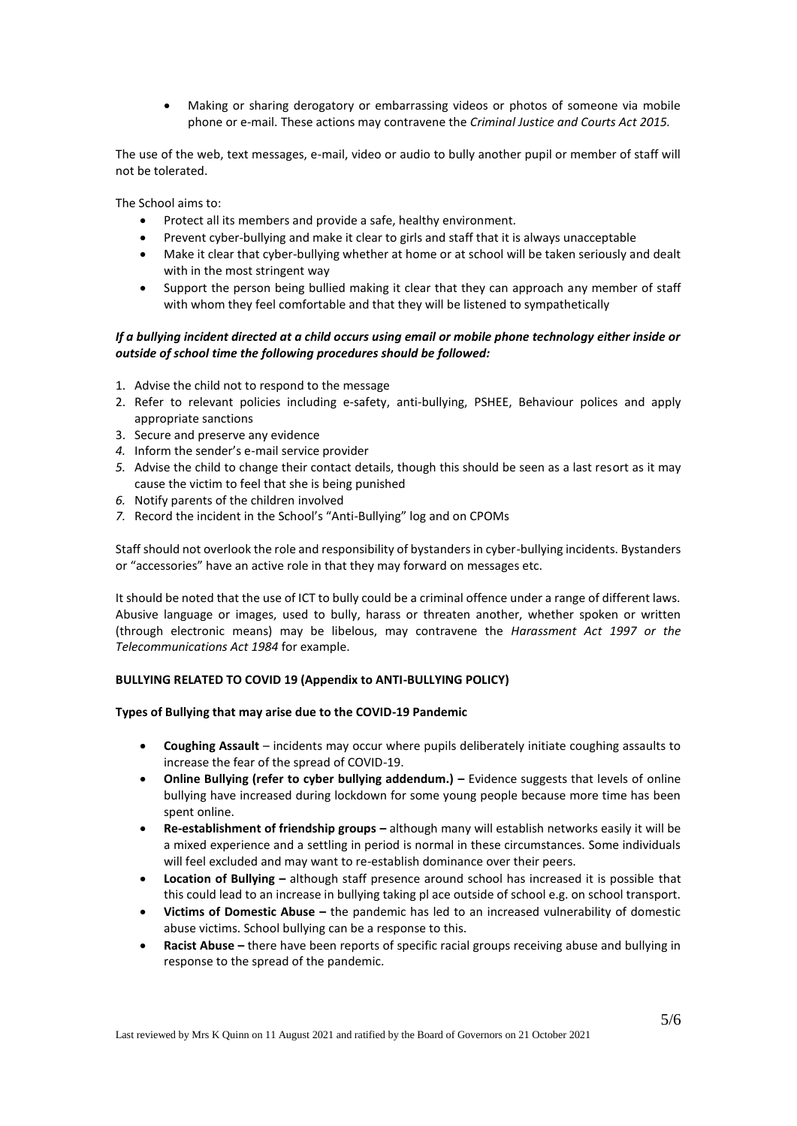• Making or sharing derogatory or embarrassing videos or photos of someone via mobile phone or e-mail. These actions may contravene the *Criminal Justice and Courts Act 2015.*

The use of the web, text messages, e-mail, video or audio to bully another pupil or member of staff will not be tolerated.

The School aims to:

- Protect all its members and provide a safe, healthy environment.
- Prevent cyber-bullying and make it clear to girls and staff that it is always unacceptable
- Make it clear that cyber-bullying whether at home or at school will be taken seriously and dealt with in the most stringent way
- Support the person being bullied making it clear that they can approach any member of staff with whom they feel comfortable and that they will be listened to sympathetically

# *If a bullying incident directed at a child occurs using email or mobile phone technology either inside or outside of school time the following procedures should be followed:*

- 1. Advise the child not to respond to the message
- 2. Refer to relevant policies including e-safety, anti-bullying, PSHEE, Behaviour polices and apply appropriate sanctions
- 3. Secure and preserve any evidence
- *4.* Inform the sender's e-mail service provider
- *5.* Advise the child to change their contact details, though this should be seen as a last resort as it may cause the victim to feel that she is being punished
- *6.* Notify parents of the children involved
- *7.* Record the incident in the School's "Anti-Bullying" log and on CPOMs

Staff should not overlook the role and responsibility of bystanders in cyber-bullying incidents. Bystanders or "accessories" have an active role in that they may forward on messages etc.

It should be noted that the use of ICT to bully could be a criminal offence under a range of different laws. Abusive language or images, used to bully, harass or threaten another, whether spoken or written (through electronic means) may be libelous, may contravene the *Harassment Act 1997 or the Telecommunications Act 1984* for example.

## **BULLYING RELATED TO COVID 19 (Appendix to ANTI-BULLYING POLICY)**

## **Types of Bullying that may arise due to the COVID-19 Pandemic**

- **Coughing Assault** incidents may occur where pupils deliberately initiate coughing assaults to increase the fear of the spread of COVID-19.
- **Online Bullying (refer to cyber bullying addendum.) –** Evidence suggests that levels of online bullying have increased during lockdown for some young people because more time has been spent online.
- **Re-establishment of friendship groups –** although many will establish networks easily it will be a mixed experience and a settling in period is normal in these circumstances. Some individuals will feel excluded and may want to re-establish dominance over their peers.
- **Location of Bullying –** although staff presence around school has increased it is possible that this could lead to an increase in bullying taking pl ace outside of school e.g. on school transport.
- **Victims of Domestic Abuse –** the pandemic has led to an increased vulnerability of domestic abuse victims. School bullying can be a response to this.
- **Racist Abuse –** there have been reports of specific racial groups receiving abuse and bullying in response to the spread of the pandemic.